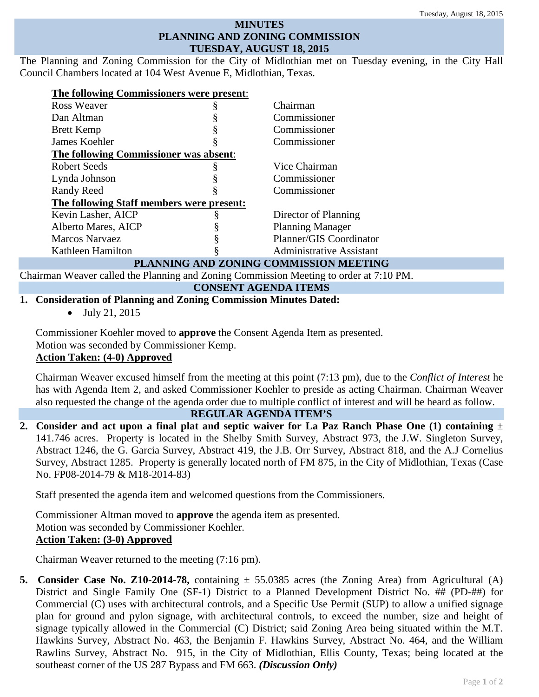### **MINUTES PLANNING AND ZONING COMMISSION TUESDAY, AUGUST 18, 2015**

The Planning and Zoning Commission for the City of Midlothian met on Tuesday evening, in the City Hall Council Chambers located at 104 West Avenue E, Midlothian, Texas.

| The following Commissioners were present: |  |                                 |
|-------------------------------------------|--|---------------------------------|
| Ross Weaver                               |  | Chairman                        |
| Dan Altman                                |  | Commissioner                    |
| <b>Brett Kemp</b>                         |  | Commissioner                    |
| James Koehler                             |  | Commissioner                    |
| The following Commissioner was absent:    |  |                                 |
| Robert Seeds                              |  | Vice Chairman                   |
| Lynda Johnson                             |  | Commissioner                    |
| <b>Randy Reed</b>                         |  | Commissioner                    |
| The following Staff members were present: |  |                                 |
| Kevin Lasher, AICP                        |  | Director of Planning            |
| Alberto Mares, AICP                       |  | <b>Planning Manager</b>         |
| Marcos Narvaez                            |  | Planner/GIS Coordinator         |
| Kathleen Hamilton                         |  | <b>Administrative Assistant</b> |
| PLANNING AND ZONING COMMISSION MEETING    |  |                                 |

Chairman Weaver called the Planning and Zoning Commission Meeting to order at 7:10 PM.

### **CONSENT AGENDA ITEMS**

# **1. Consideration of Planning and Zoning Commission Minutes Dated:**

• July 21, 2015

Commissioner Koehler moved to **approve** the Consent Agenda Item as presented. Motion was seconded by Commissioner Kemp. **Action Taken: (4-0) Approved**

Chairman Weaver excused himself from the meeting at this point (7:13 pm), due to the *Conflict of Interest* he has with Agenda Item 2, and asked Commissioner Koehler to preside as acting Chairman. Chairman Weaver also requested the change of the agenda order due to multiple conflict of interest and will be heard as follow.

### **REGULAR AGENDA ITEM'S**

**2. Consider and act upon a final plat and septic waiver for La Paz Ranch Phase One (1) containing** ± 141.746 acres. Property is located in the Shelby Smith Survey, Abstract 973, the J.W. Singleton Survey, Abstract 1246, the G. Garcia Survey, Abstract 419, the J.B. Orr Survey, Abstract 818, and the A.J Cornelius Survey, Abstract 1285. Property is generally located north of FM 875, in the City of Midlothian, Texas (Case No. FP08-2014-79 & M18-2014-83)

Staff presented the agenda item and welcomed questions from the Commissioners.

Commissioner Altman moved to **approve** the agenda item as presented. Motion was seconded by Commissioner Koehler. **Action Taken: (3-0) Approved**

Chairman Weaver returned to the meeting (7:16 pm).

**5. Consider Case No. Z10-2014-78,** containing  $\pm$  55.0385 acres (the Zoning Area) from Agricultural (A) District and Single Family One (SF-1) District to a Planned Development District No. ## (PD-##) for Commercial (C) uses with architectural controls, and a Specific Use Permit (SUP) to allow a unified signage plan for ground and pylon signage, with architectural controls, to exceed the number, size and height of signage typically allowed in the Commercial (C) District; said Zoning Area being situated within the M.T. Hawkins Survey, Abstract No. 463, the Benjamin F. Hawkins Survey, Abstract No. 464, and the William Rawlins Survey, Abstract No. 915, in the City of Midlothian, Ellis County, Texas; being located at the southeast corner of the US 287 Bypass and FM 663. *(Discussion Only)*